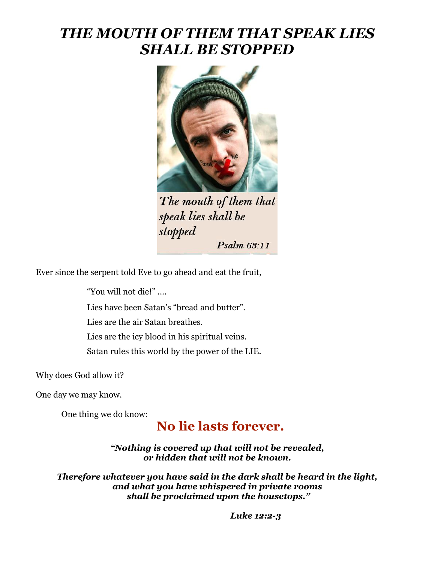## *THE MOUTH OF THEM THAT SPEAK LIES SHALL BE STOPPED*



The mouth of them that speak lies shall be stopped Psalm 63:11

Ever since the serpent told Eve to go ahead and eat the fruit,

"You will not die!" ....

Lies have been Satan's "bread and butter".

Lies are the air Satan breathes.

Lies are the icy blood in his spiritual veins.

Satan rules this world by the power of the LIE.

Why does God allow it?

One day we may know.

One thing we do know:

## **No lie lasts forever.**

*"Nothing is covered up that will not be revealed, or hidden that will not be known.*

*Therefore whatever you have said in the dark shall be heard in the light, and what you have whispered in private rooms shall be proclaimed upon the housetops."*

 *Luke 12:2-3*